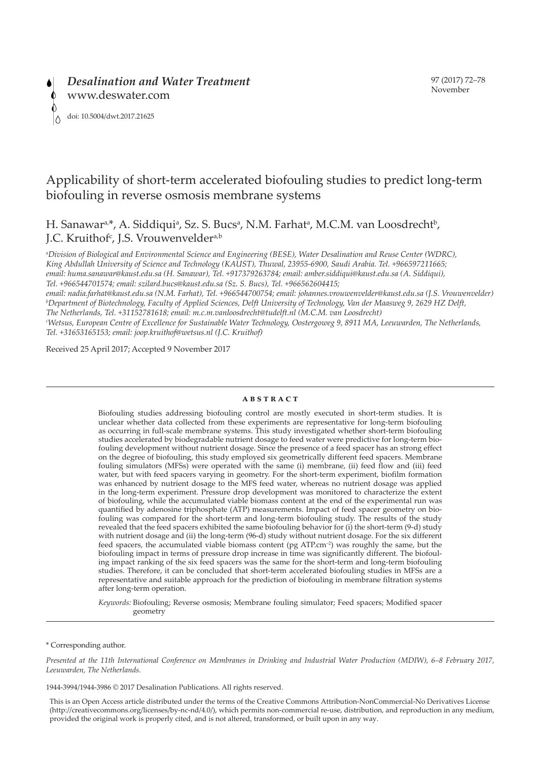# Applicability of short-term accelerated biofouling studies to predict long-term biofouling in reverse osmosis membrane systems

H. Sanawar<sup>a,\*</sup>, A. Siddiqui<sup>a</sup>, Sz. S. Bucs<sup>a</sup>, N.M. Farhat<sup>a</sup>, M.C.M. van Loosdrecht<sup>b</sup>, J.C. Kruithof<sup>c</sup>, J.S. Vrouwenvelder<sup>a,b</sup>

*a Division of Biological and Environmental Science and Engineering (BESE), Water Desalination and Reuse Center (WDRC), King Abdullah University of Science and Technology (KAUST), Thuwal, 23955-6900, Saudi Arabia. Tel. +966597211665; email: huma.sanawar@kaust.edu.sa (H. Sanawar), Tel. +917379263784; email: amber.siddiqui@kaust.edu.sa (A. Siddiqui), Tel. +966544701574; email: szilard.bucs@kaust.edu.sa (Sz. S. Bucs), Tel. +966562604415;* 

*email: nadia.farhat@kaust.edu.sa (N.M. Farhat), Tel. +966544700754; email: johannes.vrouwenvelder@kaust.edu.sa (J.S. Vrouwenvelder) b Department of Biotechnology, Faculty of Applied Sciences, Delft University of Technology, Van der Maasweg 9, 2629 HZ Delft, The Netherlands, Tel. +31152781618; email: m.c.m.vanloosdrecht@tudelft.nl (M.C.M. van Loosdrecht)*

*c Wetsus, European Centre of Excellence for Sustainable Water Technology, Oostergoweg 9, 8911 MA, Leeuwarden, The Netherlands, Tel. +31653165153; email: joop.kruithof@wetsus.nl (J.C. Kruithof)*

Received 25 April 2017; Accepted 9 November 2017

## **abstract**

Biofouling studies addressing biofouling control are mostly executed in short-term studies. It is unclear whether data collected from these experiments are representative for long-term biofouling as occurring in full-scale membrane systems. This study investigated whether short-term biofouling studies accelerated by biodegradable nutrient dosage to feed water were predictive for long-term biofouling development without nutrient dosage. Since the presence of a feed spacer has an strong effect on the degree of biofouling, this study employed six geometrically different feed spacers. Membrane fouling simulators (MFSs) were operated with the same (i) membrane, (ii) feed flow and (iii) feed water, but with feed spacers varying in geometry. For the short-term experiment, biofilm formation was enhanced by nutrient dosage to the MFS feed water, whereas no nutrient dosage was applied in the long-term experiment. Pressure drop development was monitored to characterize the extent of biofouling, while the accumulated viable biomass content at the end of the experimental run was quantified by adenosine triphosphate (ATP) measurements. Impact of feed spacer geometry on biofouling was compared for the short-term and long-term biofouling study. The results of the study revealed that the feed spacers exhibited the same biofouling behavior for (i) the short-term (9-d) study with nutrient dosage and (ii) the long-term (96-d) study without nutrient dosage. For the six different feed spacers, the accumulated viable biomass content (pg ATP.cm–2) was roughly the same, but the biofouling impact in terms of pressure drop increase in time was significantly different. The biofouling impact ranking of the six feed spacers was the same for the short-term and long-term biofouling studies. Therefore, it can be concluded that short-term accelerated biofouling studies in MFSs are a representative and suitable approach for the prediction of biofouling in membrane filtration systems after long-term operation.

*Keywords:* Biofouling; Reverse osmosis; Membrane fouling simulator; Feed spacers; Modified spacer geometry

\* Corresponding author.

*Presented at the 11th International Conference on Membranes in Drinking and Industrial Water Production (MDIW), 6–8 February 2017, Leeuwarden, The Netherlands.*

1944-3994/1944-3986 © 2017 Desalination Publications. All rights reserved.

This is an Open Access article distributed under the terms of the Creative Commons Attribution-NonCommercial-No Derivatives License (http://creativecommons.org/licenses/by-nc-nd/4.0/), which permits non-commercial re-use, distribution, and reproduction in any medium, provided the original work is properly cited, and is not altered, transformed, or built upon in any way.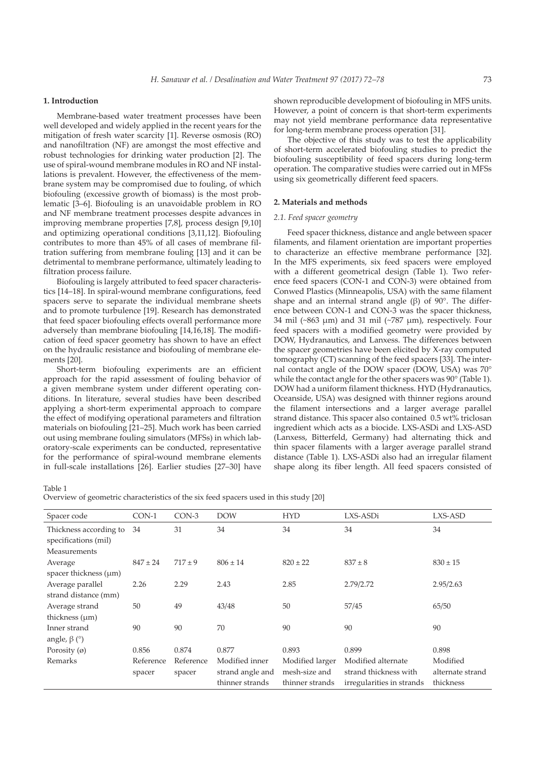# **1. Introduction**

Membrane-based water treatment processes have been well developed and widely applied in the recent years for the mitigation of fresh water scarcity [1]. Reverse osmosis (RO) and nanofiltration (NF) are amongst the most effective and robust technologies for drinking water production [2]. The use of spiral-wound membrane modules in RO and NF installations is prevalent. However, the effectiveness of the membrane system may be compromised due to fouling, of which biofouling (excessive growth of biomass) is the most problematic [3–6]. Biofouling is an unavoidable problem in RO and NF membrane treatment processes despite advances in improving membrane properties [7,8], process design [9,10] and optimizing operational conditions [3,11,12]. Biofouling contributes to more than 45% of all cases of membrane filtration suffering from membrane fouling [13] and it can be detrimental to membrane performance, ultimately leading to filtration process failure.

Biofouling is largely attributed to feed spacer characteristics [14–18]. In spiral-wound membrane configurations, feed spacers serve to separate the individual membrane sheets and to promote turbulence [19]. Research has demonstrated that feed spacer biofouling effects overall performance more adversely than membrane biofouling [14,16,18]. The modification of feed spacer geometry has shown to have an effect on the hydraulic resistance and biofouling of membrane elements [20].

Short-term biofouling experiments are an efficient approach for the rapid assessment of fouling behavior of a given membrane system under different operating conditions. In literature, several studies have been described applying a short-term experimental approach to compare the effect of modifying operational parameters and filtration materials on biofouling [21–25]. Much work has been carried out using membrane fouling simulators (MFSs) in which laboratory-scale experiments can be conducted, representative for the performance of spiral-wound membrane elements in full-scale installations [26]. Earlier studies [27–30] have

shown reproducible development of biofouling in MFS units. However, a point of concern is that short-term experiments may not yield membrane performance data representative for long-term membrane process operation [31].

The objective of this study was to test the applicability of short-term accelerated biofouling studies to predict the biofouling susceptibility of feed spacers during long-term operation. The comparative studies were carried out in MFSs using six geometrically different feed spacers.

# **2. Materials and methods**

#### *2.1. Feed spacer geometry*

Feed spacer thickness, distance and angle between spacer filaments, and filament orientation are important properties to characterize an effective membrane performance [32]. In the MFS experiments, six feed spacers were employed with a different geometrical design (Table 1). Two reference feed spacers (CON-1 and CON-3) were obtained from Conwed Plastics (Minneapolis, USA) with the same filament shape and an internal strand angle (β) of 90 $\degree$ . The difference between CON-1 and CON-3 was the spacer thickness, 34 mil (~863 µm) and 31 mil (~787 µm), respectively. Four feed spacers with a modified geometry were provided by DOW, Hydranautics, and Lanxess. The differences between the spacer geometries have been elicited by X-ray computed tomography (CT) scanning of the feed spacers [33]. The internal contact angle of the DOW spacer (DOW, USA) was 70° while the contact angle for the other spacers was 90° (Table 1). DOW had a uniform filament thickness. HYD (Hydranautics, Oceanside, USA) was designed with thinner regions around the filament intersections and a larger average parallel strand distance. This spacer also contained 0.5 wt% triclosan ingredient which acts as a biocide. LXS-ASDi and LXS-ASD (Lanxess, Bitterfeld, Germany) had alternating thick and thin spacer filaments with a larger average parallel strand distance (Table 1). LXS-ASDi also had an irregular filament shape along its fiber length. All feed spacers consisted of

Table 1

Overview of geometric characteristics of the six feed spacers used in this study [20]

| Spacer code                                    | $CON-1$      | $CON-3$     | <b>DOW</b>       | <b>HYD</b>      | LXS-ASDi                  | LXS-ASD          |
|------------------------------------------------|--------------|-------------|------------------|-----------------|---------------------------|------------------|
| Thickness according to<br>specifications (mil) | 34           | 31          | 34               | 34              | 34                        | 34               |
| <b>Measurements</b>                            |              |             |                  |                 |                           |                  |
| Average                                        | $847 \pm 24$ | $717 \pm 9$ | $806 \pm 14$     | $820 \pm 22$    | $837 \pm 8$               | $830 \pm 15$     |
| spacer thickness $(\mu m)$                     |              |             |                  |                 |                           |                  |
| Average parallel                               | 2.26         | 2.29        | 2.43             | 2.85            | 2.79/2.72                 | 2.95/2.63        |
| strand distance (mm)                           |              |             |                  |                 |                           |                  |
| Average strand                                 | 50           | 49          | 43/48            | 50              | 57/45                     | 65/50            |
| thickness $(\mu m)$                            |              |             |                  |                 |                           |                  |
| Inner strand                                   | 90           | 90          | 70               | 90              | 90                        | 90               |
| angle, $\beta$ ( $\degree$ )                   |              |             |                  |                 |                           |                  |
| Porosity $(\emptyset)$                         | 0.856        | 0.874       | 0.877            | 0.893           | 0.899                     | 0.898            |
| Remarks                                        | Reference    | Reference   | Modified inner   | Modified larger | Modified alternate        | Modified         |
|                                                | spacer       | spacer      | strand angle and | mesh-size and   | strand thickness with     | alternate strand |
|                                                |              |             | thinner strands  | thinner strands | irregularities in strands | thickness        |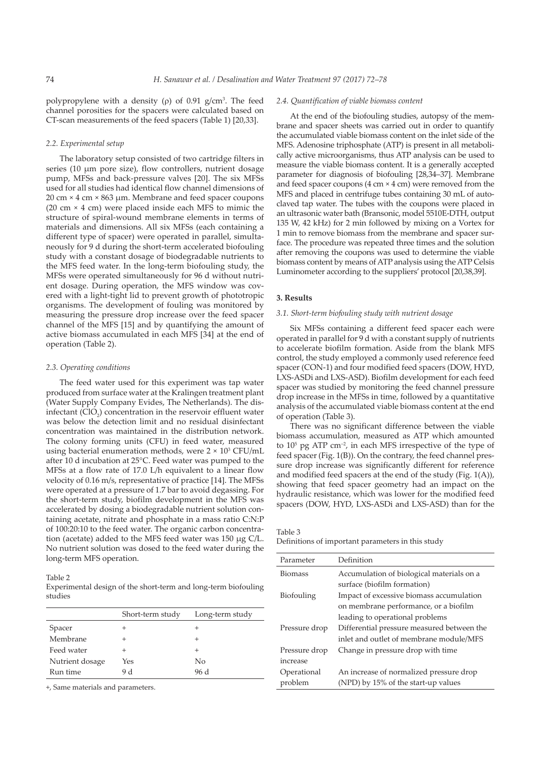polypropylene with a density  $(\rho)$  of 0.91 g/cm<sup>3</sup>. The feed channel porosities for the spacers were calculated based on CT-scan measurements of the feed spacers (Table 1) [20,33].

## *2.2. Experimental setup*

The laboratory setup consisted of two cartridge filters in series (10 µm pore size), flow controllers, nutrient dosage pump, MFSs and back-pressure valves [20]. The six MFSs used for all studies had identical flow channel dimensions of 20 cm × 4 cm × 863 µm. Membrane and feed spacer coupons (20 cm  $\times$  4 cm) were placed inside each MFS to mimic the structure of spiral-wound membrane elements in terms of materials and dimensions. All six MFSs (each containing a different type of spacer) were operated in parallel, simultaneously for 9 d during the short-term accelerated biofouling study with a constant dosage of biodegradable nutrients to the MFS feed water. In the long-term biofouling study, the MFSs were operated simultaneously for 96 d without nutrient dosage. During operation, the MFS window was covered with a light-tight lid to prevent growth of phototropic organisms. The development of fouling was monitored by measuring the pressure drop increase over the feed spacer channel of the MFS [15] and by quantifying the amount of active biomass accumulated in each MFS [34] at the end of operation (Table 2).

#### *2.3. Operating conditions*

The feed water used for this experiment was tap water produced from surface water at the Kralingen treatment plant (Water Supply Company Evides, The Netherlands). The disinfectant  $(CIO_2)$  concentration in the reservoir effluent water was below the detection limit and no residual disinfectant concentration was maintained in the distribution network. The colony forming units (CFU) in feed water, measured using bacterial enumeration methods, were  $2 \times 10^3$  CFU/mL after 10 d incubation at 25°C. Feed water was pumped to the MFSs at a flow rate of 17.0 L/h equivalent to a linear flow velocity of 0.16 m/s, representative of practice [14]. The MFSs were operated at a pressure of 1.7 bar to avoid degassing. For the short-term study, biofilm development in the MFS was accelerated by dosing a biodegradable nutrient solution containing acetate, nitrate and phosphate in a mass ratio C:N:P of 100:20:10 to the feed water. The organic carbon concentration (acetate) added to the MFS feed water was 150 µg C/L. No nutrient solution was dosed to the feed water during the long-term MFS operation.

Table 2

Experimental design of the short-term and long-term biofouling studies

|                 | Short-term study | Long-term study |
|-----------------|------------------|-----------------|
| Spacer          |                  | +               |
| Membrane        |                  |                 |
| Feed water      |                  | $^+$            |
| Nutrient dosage | Yes              | No              |
| Run time        | 9 d              | 96 d            |
|                 |                  |                 |

+, Same materials and parameters.

#### *2.4. Quantification of viable biomass content*

At the end of the biofouling studies, autopsy of the membrane and spacer sheets was carried out in order to quantify the accumulated viable biomass content on the inlet side of the MFS. Adenosine triphosphate (ATP) is present in all metabolically active microorganisms, thus ATP analysis can be used to measure the viable biomass content. It is a generally accepted parameter for diagnosis of biofouling [28,34–37]. Membrane and feed spacer coupons  $(4 \text{ cm} \times 4 \text{ cm})$  were removed from the MFS and placed in centrifuge tubes containing 30 mL of autoclaved tap water. The tubes with the coupons were placed in an ultrasonic water bath (Bransonic, model 5510E-DTH, output 135 W, 42 kHz) for 2 min followed by mixing on a Vortex for 1 min to remove biomass from the membrane and spacer surface. The procedure was repeated three times and the solution after removing the coupons was used to determine the viable biomass content by means of ATP analysis using the ATP Celsis Luminometer according to the suppliers' protocol [20,38,39].

## **3. Results**

#### *3.1. Short-term biofouling study with nutrient dosage*

Six MFSs containing a different feed spacer each were operated in parallel for 9 d with a constant supply of nutrients to accelerate biofilm formation. Aside from the blank MFS control, the study employed a commonly used reference feed spacer (CON-1) and four modified feed spacers (DOW, HYD, LXS-ASDi and LXS-ASD). Biofilm development for each feed spacer was studied by monitoring the feed channel pressure drop increase in the MFSs in time, followed by a quantitative analysis of the accumulated viable biomass content at the end of operation (Table 3).

There was no significant difference between the viable biomass accumulation, measured as ATP which amounted to  $10^5$  pg ATP cm<sup>-2</sup>, in each MFS irrespective of the type of feed spacer (Fig. 1(B)). On the contrary, the feed channel pressure drop increase was significantly different for reference and modified feed spacers at the end of the study (Fig. 1(A)), showing that feed spacer geometry had an impact on the hydraulic resistance, which was lower for the modified feed spacers (DOW, HYD, LXS-ASDi and LXS-ASD) than for the

Table 3

Definitions of important parameters in this study

| Parameter      | Definition                                 |  |  |
|----------------|--------------------------------------------|--|--|
| <b>Biomass</b> | Accumulation of biological materials on a  |  |  |
|                | surface (biofilm formation)                |  |  |
| Biofouling     | Impact of excessive biomass accumulation   |  |  |
|                | on membrane performance, or a biofilm      |  |  |
|                | leading to operational problems            |  |  |
| Pressure drop  | Differential pressure measured between the |  |  |
|                | inlet and outlet of membrane module/MFS    |  |  |
| Pressure drop  | Change in pressure drop with time          |  |  |
| increase       |                                            |  |  |
| Operational    | An increase of normalized pressure drop    |  |  |
| problem        | (NPD) by 15% of the start-up values        |  |  |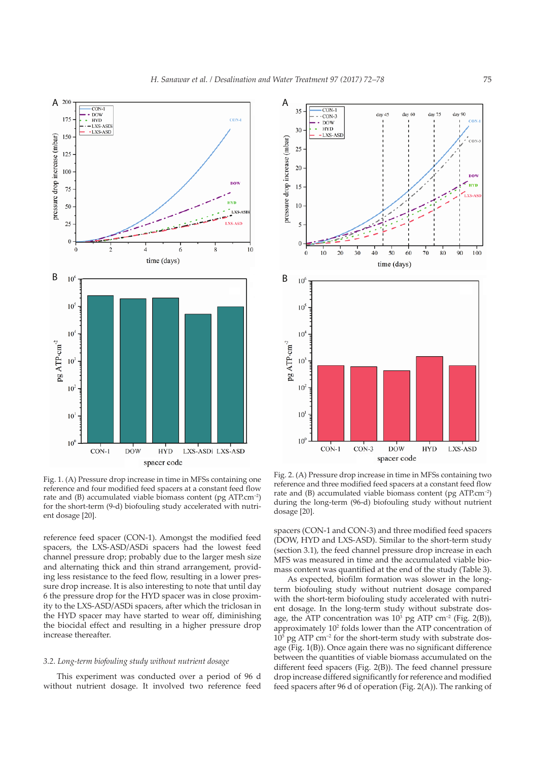



Fig. 1. (A) Pressure drop increase in time in MFSs containing one reference and four modified feed spacers at a constant feed flow rate and (B) accumulated viable biomass content (pg ATP.cm–2) for the short-term (9-d) biofouling study accelerated with nutrient dosage [20].

reference feed spacer (CON-1). Amongst the modified feed spacers, the LXS-ASD/ASDi spacers had the lowest feed channel pressure drop; probably due to the larger mesh size and alternating thick and thin strand arrangement, providing less resistance to the feed flow, resulting in a lower pressure drop increase. It is also interesting to note that until day 6 the pressure drop for the HYD spacer was in close proximity to the LXS-ASD/ASDi spacers, after which the triclosan in the HYD spacer may have started to wear off, diminishing the biocidal effect and resulting in a higher pressure drop increase thereafter.

# *3.2. Long-term biofouling study without nutrient dosage*

This experiment was conducted over a period of 96 d without nutrient dosage. It involved two reference feed

Fig. 2. (A) Pressure drop increase in time in MFSs containing two reference and three modified feed spacers at a constant feed flow rate and (B) accumulated viable biomass content (pg ATP.cm–2) during the long-term (96-d) biofouling study without nutrient dosage [20].

spacers (CON-1 and CON-3) and three modified feed spacers (DOW, HYD and LXS-ASD). Similar to the short-term study (section 3.1), the feed channel pressure drop increase in each MFS was measured in time and the accumulated viable biomass content was quantified at the end of the study (Table 3).

As expected, biofilm formation was slower in the longterm biofouling study without nutrient dosage compared with the short-term biofouling study accelerated with nutrient dosage. In the long-term study without substrate dosage, the ATP concentration was  $10^3$  pg ATP cm<sup>-2</sup> (Fig. 2(B)), approximately 102 folds lower than the ATP concentration of  $10<sup>5</sup>$  pg ATP cm<sup>-2</sup> for the short-term study with substrate dosage (Fig. 1(B)). Once again there was no significant difference between the quantities of viable biomass accumulated on the different feed spacers (Fig. 2(B)). The feed channel pressure drop increase differed significantly for reference and modified feed spacers after 96 d of operation (Fig. 2(A)). The ranking of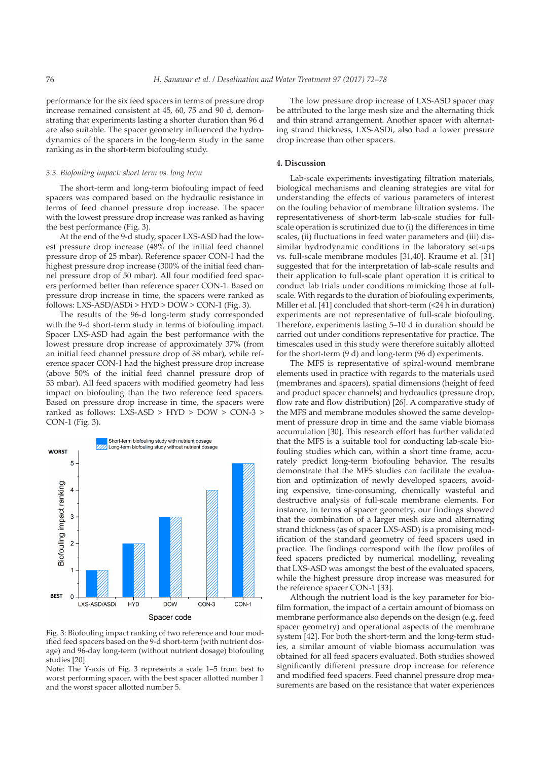performance for the six feed spacers in terms of pressure drop increase remained consistent at 45, 60, 75 and 90 d, demonstrating that experiments lasting a shorter duration than 96 d are also suitable. The spacer geometry influenced the hydrodynamics of the spacers in the long-term study in the same ranking as in the short-term biofouling study.

## *3.3. Biofouling impact: short term vs. long term*

The short-term and long-term biofouling impact of feed spacers was compared based on the hydraulic resistance in terms of feed channel pressure drop increase. The spacer with the lowest pressure drop increase was ranked as having the best performance (Fig. 3).

At the end of the 9-d study, spacer LXS-ASD had the lowest pressure drop increase (48% of the initial feed channel pressure drop of 25 mbar). Reference spacer CON-1 had the highest pressure drop increase (300% of the initial feed channel pressure drop of 50 mbar). All four modified feed spacers performed better than reference spacer CON-1. Based on pressure drop increase in time, the spacers were ranked as follows: LXS-ASD/ASDi > HYD > DOW > CON-1 (Fig. 3).

The results of the 96-d long-term study corresponded with the 9-d short-term study in terms of biofouling impact. Spacer LXS-ASD had again the best performance with the lowest pressure drop increase of approximately 37% (from an initial feed channel pressure drop of 38 mbar), while reference spacer CON-1 had the highest pressure drop increase (above 50% of the initial feed channel pressure drop of 53 mbar). All feed spacers with modified geometry had less impact on biofouling than the two reference feed spacers. Based on pressure drop increase in time, the spacers were ranked as follows: LXS-ASD > HYD > DOW > CON-3 > CON-1 (Fig. 3).



Fig. 3: Biofouling impact ranking of two reference and four modified feed spacers based on the 9-d short-term (with nutrient dosage) and 96-day long-term (without nutrient dosage) biofouling studies [20].

Note: The *Y*-axis of Fig. 3 represents a scale 1–5 from best to worst performing spacer, with the best spacer allotted number 1 and the worst spacer allotted number 5.

The low pressure drop increase of LXS-ASD spacer may be attributed to the large mesh size and the alternating thick and thin strand arrangement. Another spacer with alternating strand thickness, LXS-ASDi, also had a lower pressure drop increase than other spacers.

# **4. Discussion**

Lab-scale experiments investigating filtration materials, biological mechanisms and cleaning strategies are vital for understanding the effects of various parameters of interest on the fouling behavior of membrane filtration systems. The representativeness of short-term lab-scale studies for fullscale operation is scrutinized due to (i) the differences in time scales, (ii) fluctuations in feed water parameters and (iii) dissimilar hydrodynamic conditions in the laboratory set-ups vs. full-scale membrane modules [31,40]. Kraume et al. [31] suggested that for the interpretation of lab-scale results and their application to full-scale plant operation it is critical to conduct lab trials under conditions mimicking those at fullscale. With regards to the duration of biofouling experiments, Miller et al. [41] concluded that short-term (<24 h in duration) experiments are not representative of full-scale biofouling. Therefore, experiments lasting 5–10 d in duration should be carried out under conditions representative for practice. The timescales used in this study were therefore suitably allotted for the short-term (9 d) and long-term (96 d) experiments.

The MFS is representative of spiral-wound membrane elements used in practice with regards to the materials used (membranes and spacers), spatial dimensions (height of feed and product spacer channels) and hydraulics (pressure drop, flow rate and flow distribution) [26]. A comparative study of the MFS and membrane modules showed the same development of pressure drop in time and the same viable biomass accumulation [30]. This research effort has further validated that the MFS is a suitable tool for conducting lab-scale biofouling studies which can, within a short time frame, accurately predict long-term biofouling behavior. The results demonstrate that the MFS studies can facilitate the evaluation and optimization of newly developed spacers, avoiding expensive, time-consuming, chemically wasteful and destructive analysis of full-scale membrane elements. For instance, in terms of spacer geometry, our findings showed that the combination of a larger mesh size and alternating strand thickness (as of spacer LXS-ASD) is a promising modification of the standard geometry of feed spacers used in practice. The findings correspond with the flow profiles of feed spacers predicted by numerical modelling, revealing that LXS-ASD was amongst the best of the evaluated spacers, while the highest pressure drop increase was measured for the reference spacer CON-1 [33].

Although the nutrient load is the key parameter for biofilm formation, the impact of a certain amount of biomass on membrane performance also depends on the design (e.g. feed spacer geometry) and operational aspects of the membrane system [42]. For both the short-term and the long-term studies, a similar amount of viable biomass accumulation was obtained for all feed spacers evaluated. Both studies showed significantly different pressure drop increase for reference and modified feed spacers. Feed channel pressure drop measurements are based on the resistance that water experiences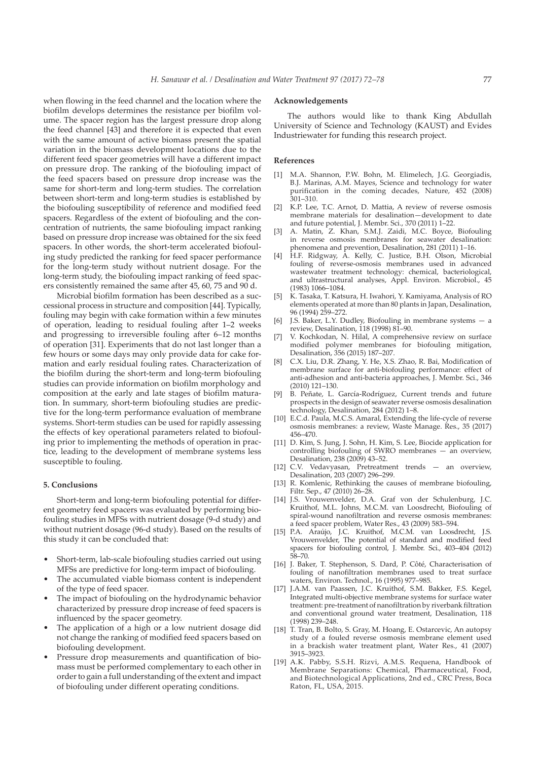when flowing in the feed channel and the location where the biofilm develops determines the resistance per biofilm volume. The spacer region has the largest pressure drop along the feed channel [43] and therefore it is expected that even with the same amount of active biomass present the spatial variation in the biomass development locations due to the different feed spacer geometries will have a different impact on pressure drop. The ranking of the biofouling impact of the feed spacers based on pressure drop increase was the same for short-term and long-term studies. The correlation between short-term and long-term studies is established by the biofouling susceptibility of reference and modified feed spacers. Regardless of the extent of biofouling and the concentration of nutrients, the same biofouling impact ranking based on pressure drop increase was obtained for the six feed spacers. In other words, the short-term accelerated biofouling study predicted the ranking for feed spacer performance for the long-term study without nutrient dosage. For the long-term study, the biofouling impact ranking of feed spacers consistently remained the same after 45, 60, 75 and 90 d.

Microbial biofilm formation has been described as a successional process in structure and composition [44]. Typically, fouling may begin with cake formation within a few minutes of operation, leading to residual fouling after 1–2 weeks and progressing to irreversible fouling after 6–12 months of operation [31]. Experiments that do not last longer than a few hours or some days may only provide data for cake formation and early residual fouling rates. Characterization of the biofilm during the short-term and long-term biofouling studies can provide information on biofilm morphology and composition at the early and late stages of biofilm maturation. In summary, short-term biofouling studies are predictive for the long-term performance evaluation of membrane systems. Short-term studies can be used for rapidly assessing the effects of key operational parameters related to biofouling prior to implementing the methods of operation in practice, leading to the development of membrane systems less susceptible to fouling.

#### **5. Conclusions**

Short-term and long-term biofouling potential for different geometry feed spacers was evaluated by performing biofouling studies in MFSs with nutrient dosage (9-d study) and without nutrient dosage (96-d study). Based on the results of this study it can be concluded that:

- Short-term, lab-scale biofouling studies carried out using MFSs are predictive for long-term impact of biofouling.
- The accumulated viable biomass content is independent of the type of feed spacer.
- The impact of biofouling on the hydrodynamic behavior characterized by pressure drop increase of feed spacers is influenced by the spacer geometry.
- The application of a high or a low nutrient dosage did not change the ranking of modified feed spacers based on biofouling development.
- Pressure drop measurements and quantification of biomass must be performed complementary to each other in order to gain a full understanding of the extent and impact of biofouling under different operating conditions.

# **Acknowledgements**

The authors would like to thank King Abdullah University of Science and Technology (KAUST) and Evides Industriewater for funding this research project.

## **References**

- [1] M.A. Shannon, P.W. Bohn, M. Elimelech, J.G. Georgiadis, B.J. Marinas, A.M. Mayes, Science and technology for water purification in the coming decades, Nature, 452 (2008) 301–310.
- [2] K.P. Lee, T.C. Arnot, D. Mattia, A review of reverse osmosis membrane materials for desalination—development to date and future potential, J. Membr. Sci., 370 (2011) 1–22.
- A. Matin, Z. Khan, S.M.J. Zaidi, M.C. Boyce, Biofouling in reverse osmosis membranes for seawater desalination: phenomena and prevention, Desalination, 281 (2011) 1–16.
- [4] H.F. Ridgway, A. Kelly, C. Justice, B.H. Olson, Microbial fouling of reverse-osmosis membranes used in advanced wastewater treatment technology: chemical, bacteriological, and ultrastructural analyses, Appl. Environ. Microbiol., 45 (1983) 1066–1084.
- [5] K. Tasaka, T. Katsura, H. Iwahori, Y. Kamiyama, Analysis of RO elements operated at more than 80 plants in Japan, Desalination, 96 (1994) 259–272.
- J.S. Baker, L.Y. Dudley, Biofouling in membrane systems a review, Desalination, 118 (1998) 81–90.
- [7] V. Kochkodan, N. Hilal, A comprehensive review on surface modified polymer membranes for biofouling mitigation, Desalination, 356 (2015) 187–207.
- C.X. Liu, D.R. Zhang, Y. He, X.S. Zhao, R. Bai, Modification of membrane surface for anti-biofouling performance: effect of anti-adhesion and anti-bacteria approaches, J. Membr. Sci., 346 (2010) 121–130.
- [9] B. Peñate, L. García-Rodríguez, Current trends and future prospects in the design of seawater reverse osmosis desalination technology, Desalination, 284 (2012) 1–8.
- [10] E.C.d. Paula, M.C.S. Amaral, Extending the life-cycle of reverse osmosis membranes: a review, Waste Manage. Res., 35 (2017) 456–470.
- [11] D. Kim, S. Jung, J. Sohn, H. Kim, S. Lee, Biocide application for controlling biofouling of SWRO membranes — an overview, Desalination, 238 (2009) 43–52.
- [12] C.V. Vedavyasan, Pretreatment trends an overview, Desalination, 203 (2007) 296–299.
- [13] R. Komlenic, Rethinking the causes of membrane biofouling, Filtr. Sep., 47 (2010) 26–28.
- [14] J.S. Vrouwenvelder, D.A. Graf von der Schulenburg, J.C. Kruithof, M.L. Johns, M.C.M. van Loosdrecht, Biofouling of spiral-wound nanofiltration and reverse osmosis membranes: a feed spacer problem, Water Res., 43 (2009) 583–594.
- [15] P.A. Araújo, J.C. Kruithof, M.C.M. van Loosdrecht, J.S. Vrouwenvelder, The potential of standard and modified feed spacers for biofouling control, J. Membr. Sci., 403–404 (2012) 58–70.
- [16] J. Baker, T. Stephenson, S. Dard, P. Côté, Characterisation of fouling of nanofiltration membranes used to treat surface waters, Environ. Technol., 16 (1995) 977–985.
- [17] J.A.M. van Paassen, J.C. Kruithof, S.M. Bakker, F.S. Kegel, Integrated multi-objective membrane systems for surface water treatment: pre-treatment of nanofiltration by riverbank filtration and conventional ground water treatment, Desalination, 118 (1998) 239–248.
- [18] T. Tran, B. Bolto, S. Gray, M. Hoang, E. Ostarcevic, An autopsy study of a fouled reverse osmosis membrane element used in a brackish water treatment plant, Water Res., 41 (2007) 3915–3923.
- [19] A.K. Pabby, S.S.H. Rizvi, A.M.S. Requena, Handbook of Membrane Separations: Chemical, Pharmaceutical, Food, and Biotechnological Applications, 2nd ed., CRC Press, Boca Raton, FL, USA, 2015.